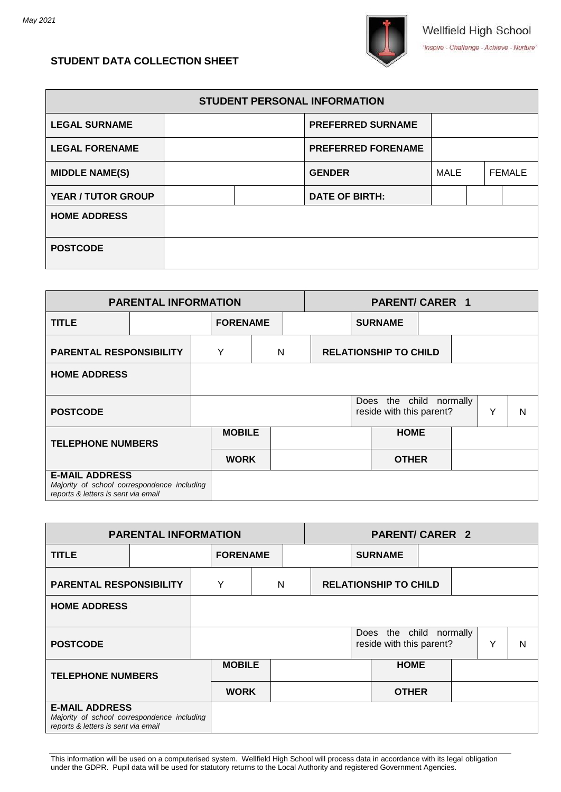

# **STUDENT DATA COLLECTION SHEET**

| <b>STUDENT PERSONAL INFORMATION</b> |  |  |                           |      |  |               |  |  |  |
|-------------------------------------|--|--|---------------------------|------|--|---------------|--|--|--|
| <b>LEGAL SURNAME</b>                |  |  | <b>PREFERRED SURNAME</b>  |      |  |               |  |  |  |
| <b>LEGAL FORENAME</b>               |  |  | <b>PREFERRED FORENAME</b> |      |  |               |  |  |  |
| <b>MIDDLE NAME(S)</b>               |  |  | <b>GENDER</b>             | MALE |  | <b>FEMALE</b> |  |  |  |
| <b>YEAR / TUTOR GROUP</b>           |  |  | <b>DATE OF BIRTH:</b>     |      |  |               |  |  |  |
| <b>HOME ADDRESS</b>                 |  |  |                           |      |  |               |  |  |  |
| <b>POSTCODE</b>                     |  |  |                           |      |  |               |  |  |  |

| <b>PARENTAL INFORMATION</b>                                                                                 |  |  |               |                 | <b>PARENT/CARER 1</b> |                                                     |  |              |  |   |   |  |
|-------------------------------------------------------------------------------------------------------------|--|--|---------------|-----------------|-----------------------|-----------------------------------------------------|--|--------------|--|---|---|--|
| <b>TITLE</b>                                                                                                |  |  |               | <b>FORENAME</b> |                       | <b>SURNAME</b>                                      |  |              |  |   |   |  |
| <b>PARENTAL RESPONSIBILITY</b>                                                                              |  |  | Υ             | N               |                       | <b>RELATIONSHIP TO CHILD</b>                        |  |              |  |   |   |  |
| <b>HOME ADDRESS</b>                                                                                         |  |  |               |                 |                       |                                                     |  |              |  |   |   |  |
| <b>POSTCODE</b>                                                                                             |  |  |               |                 |                       | Does the child normally<br>reside with this parent? |  |              |  | Υ | N |  |
| <b>TELEPHONE NUMBERS</b>                                                                                    |  |  | <b>MOBILE</b> |                 |                       |                                                     |  | <b>HOME</b>  |  |   |   |  |
|                                                                                                             |  |  | <b>WORK</b>   |                 |                       |                                                     |  | <b>OTHER</b> |  |   |   |  |
| <b>E-MAIL ADDRESS</b><br>Majority of school correspondence including<br>reports & letters is sent via email |  |  |               |                 |                       |                                                     |  |              |  |   |   |  |

| <b>PARENTAL INFORMATION</b>                                                                                 |  |   |                 |  |                              | <b>PARENT/CARER 2</b> |                |                                                     |  |  |   |   |
|-------------------------------------------------------------------------------------------------------------|--|---|-----------------|--|------------------------------|-----------------------|----------------|-----------------------------------------------------|--|--|---|---|
| <b>TITLE</b>                                                                                                |  |   | <b>FORENAME</b> |  |                              |                       | <b>SURNAME</b> |                                                     |  |  |   |   |
| <b>PARENTAL RESPONSIBILITY</b>                                                                              |  | Y | N               |  | <b>RELATIONSHIP TO CHILD</b> |                       |                |                                                     |  |  |   |   |
| <b>HOME ADDRESS</b>                                                                                         |  |   |                 |  |                              |                       |                |                                                     |  |  |   |   |
| <b>POSTCODE</b>                                                                                             |  |   |                 |  |                              |                       |                | Does the child normally<br>reside with this parent? |  |  | Y | N |
| <b>TELEPHONE NUMBERS</b>                                                                                    |  |   | <b>MOBILE</b>   |  |                              |                       |                | <b>HOME</b>                                         |  |  |   |   |
|                                                                                                             |  |   | <b>WORK</b>     |  |                              |                       |                | <b>OTHER</b>                                        |  |  |   |   |
| <b>E-MAIL ADDRESS</b><br>Majority of school correspondence including<br>reports & letters is sent via email |  |   |                 |  |                              |                       |                |                                                     |  |  |   |   |

This information will be used on a computerised system. Wellfield High School will process data in accordance with its legal obligation under the GDPR. Pupil data will be used for statutory returns to the Local Authority and registered Government Agencies.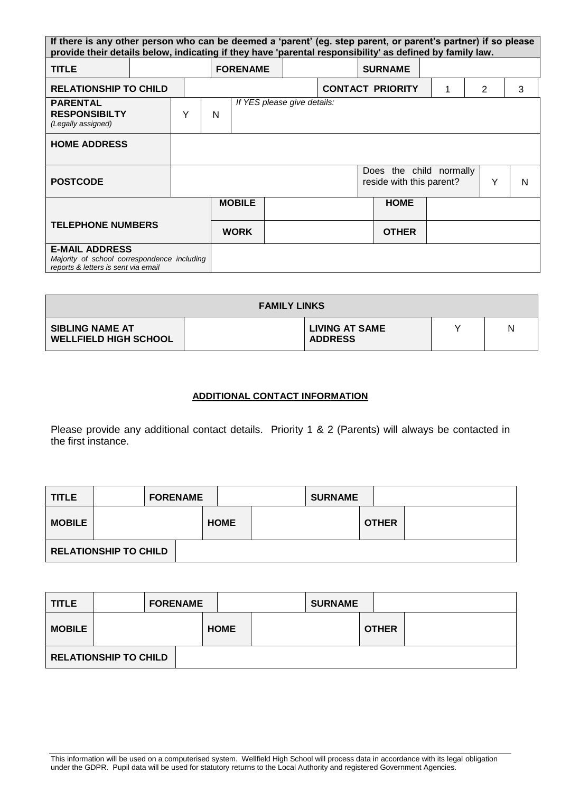|                                                                                                             | If there is any other person who can be deemed a 'parent' (eg. step parent, or parent's partner) if so please<br>provide their details below, indicating if they have 'parental responsibility' as defined by family law. |   |   |                             |  |  |                |                                                     |  |                |   |
|-------------------------------------------------------------------------------------------------------------|---------------------------------------------------------------------------------------------------------------------------------------------------------------------------------------------------------------------------|---|---|-----------------------------|--|--|----------------|-----------------------------------------------------|--|----------------|---|
| <b>TITLE</b>                                                                                                |                                                                                                                                                                                                                           |   |   | <b>FORENAME</b>             |  |  | <b>SURNAME</b> |                                                     |  |                |   |
| <b>RELATIONSHIP TO CHILD</b>                                                                                |                                                                                                                                                                                                                           |   |   |                             |  |  |                | <b>CONTACT PRIORITY</b>                             |  | $\overline{2}$ | 3 |
| <b>PARENTAL</b><br><b>RESPONSIBILTY</b><br>(Legally assigned)                                               |                                                                                                                                                                                                                           | Y | N | If YES please give details: |  |  |                |                                                     |  |                |   |
| <b>HOME ADDRESS</b>                                                                                         |                                                                                                                                                                                                                           |   |   |                             |  |  |                |                                                     |  |                |   |
| <b>POSTCODE</b>                                                                                             |                                                                                                                                                                                                                           |   |   |                             |  |  |                | Does the child normally<br>reside with this parent? |  | Y              | N |
|                                                                                                             |                                                                                                                                                                                                                           |   |   | <b>MOBILE</b>               |  |  |                | <b>HOME</b>                                         |  |                |   |
| <b>TELEPHONE NUMBERS</b>                                                                                    |                                                                                                                                                                                                                           |   |   | <b>WORK</b>                 |  |  |                | <b>OTHER</b>                                        |  |                |   |
| <b>E-MAIL ADDRESS</b><br>Majority of school correspondence including<br>reports & letters is sent via email |                                                                                                                                                                                                                           |   |   |                             |  |  |                |                                                     |  |                |   |

| <b>FAMILY LINKS</b>                                    |  |                                         |  |   |  |  |  |  |
|--------------------------------------------------------|--|-----------------------------------------|--|---|--|--|--|--|
| <b>SIBLING NAME AT</b><br><b>WELLFIELD HIGH SCHOOL</b> |  | <b>LIVING AT SAME</b><br><b>ADDRESS</b> |  | N |  |  |  |  |

## **ADDITIONAL CONTACT INFORMATION**

Please provide any additional contact details. Priority 1 & 2 (Parents) will always be contacted in the first instance.

| <b>TITLE</b>  |                              | <b>FORENAME</b> |             | <b>SURNAME</b> |              |  |
|---------------|------------------------------|-----------------|-------------|----------------|--------------|--|
| <b>MOBILE</b> |                              |                 | <b>HOME</b> |                | <b>OTHER</b> |  |
|               | <b>RELATIONSHIP TO CHILD</b> |                 |             |                |              |  |

| <b>TITLE</b>  |                              | <b>FORENAME</b> |             | <b>SURNAME</b> |              |  |
|---------------|------------------------------|-----------------|-------------|----------------|--------------|--|
| <b>MOBILE</b> |                              |                 | <b>HOME</b> |                | <b>OTHER</b> |  |
|               | <b>RELATIONSHIP TO CHILD</b> |                 |             |                |              |  |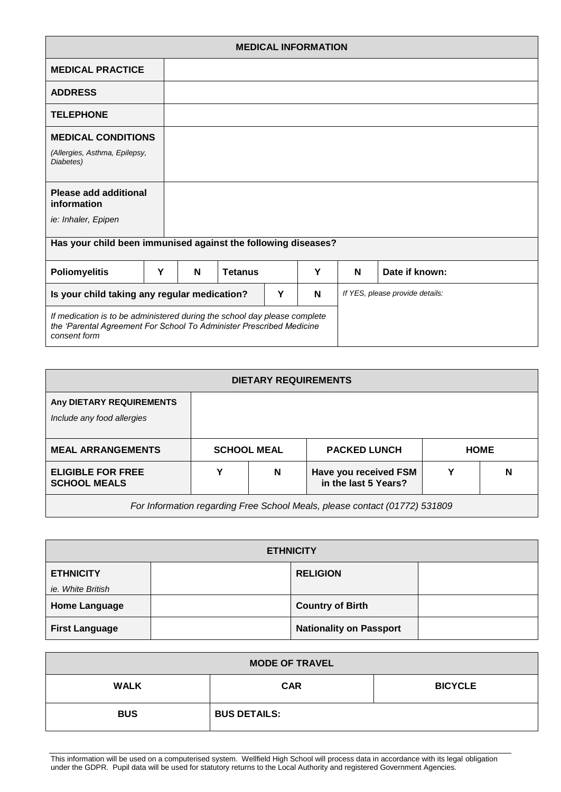|                                                                                                                                                                   | <b>MEDICAL INFORMATION</b> |  |   |                |   |   |                                 |                |  |  |
|-------------------------------------------------------------------------------------------------------------------------------------------------------------------|----------------------------|--|---|----------------|---|---|---------------------------------|----------------|--|--|
| <b>MEDICAL PRACTICE</b>                                                                                                                                           |                            |  |   |                |   |   |                                 |                |  |  |
| <b>ADDRESS</b>                                                                                                                                                    |                            |  |   |                |   |   |                                 |                |  |  |
| <b>TELEPHONE</b>                                                                                                                                                  |                            |  |   |                |   |   |                                 |                |  |  |
| <b>MEDICAL CONDITIONS</b>                                                                                                                                         |                            |  |   |                |   |   |                                 |                |  |  |
| (Allergies, Asthma, Epilepsy,<br>Diabetes)                                                                                                                        |                            |  |   |                |   |   |                                 |                |  |  |
| <b>Please add additional</b><br>information                                                                                                                       |                            |  |   |                |   |   |                                 |                |  |  |
| ie: Inhaler, Epipen                                                                                                                                               |                            |  |   |                |   |   |                                 |                |  |  |
| Has your child been immunised against the following diseases?                                                                                                     |                            |  |   |                |   |   |                                 |                |  |  |
| <b>Poliomyelitis</b>                                                                                                                                              | Υ                          |  | N | <b>Tetanus</b> |   | Y | N                               | Date if known: |  |  |
| Is your child taking any regular medication?<br>Y                                                                                                                 |                            |  |   |                | N |   | If YES, please provide details: |                |  |  |
| If medication is to be administered during the school day please complete<br>the 'Parental Agreement For School To Administer Prescribed Medicine<br>consent form |                            |  |   |                |   |   |                                 |                |  |  |

| <b>DIETARY REQUIREMENTS</b>                                                |                    |   |                                               |             |   |  |  |  |
|----------------------------------------------------------------------------|--------------------|---|-----------------------------------------------|-------------|---|--|--|--|
| Any DIETARY REQUIREMENTS<br>Include any food allergies                     |                    |   |                                               |             |   |  |  |  |
| <b>MEAL ARRANGEMENTS</b>                                                   | <b>SCHOOL MEAL</b> |   | <b>PACKED LUNCH</b>                           | <b>HOME</b> |   |  |  |  |
| <b>ELIGIBLE FOR FREE</b><br><b>SCHOOL MEALS</b>                            | Υ                  | N | Have you received FSM<br>in the last 5 Years? |             | N |  |  |  |
| For Information regarding Free School Meals, please contact (01772) 531809 |                    |   |                                               |             |   |  |  |  |

| <b>ETHNICITY</b>      |  |                                |  |  |  |  |  |  |
|-----------------------|--|--------------------------------|--|--|--|--|--|--|
| <b>ETHNICITY</b>      |  | <b>RELIGION</b>                |  |  |  |  |  |  |
| ie. White British     |  |                                |  |  |  |  |  |  |
| <b>Home Language</b>  |  | <b>Country of Birth</b>        |  |  |  |  |  |  |
| <b>First Language</b> |  | <b>Nationality on Passport</b> |  |  |  |  |  |  |

 $\mathsf{l}$ 

| <b>MODE OF TRAVEL</b> |                     |                |  |  |  |  |  |
|-----------------------|---------------------|----------------|--|--|--|--|--|
| <b>WALK</b>           | <b>CAR</b>          | <b>BICYCLE</b> |  |  |  |  |  |
| <b>BUS</b>            | <b>BUS DETAILS:</b> |                |  |  |  |  |  |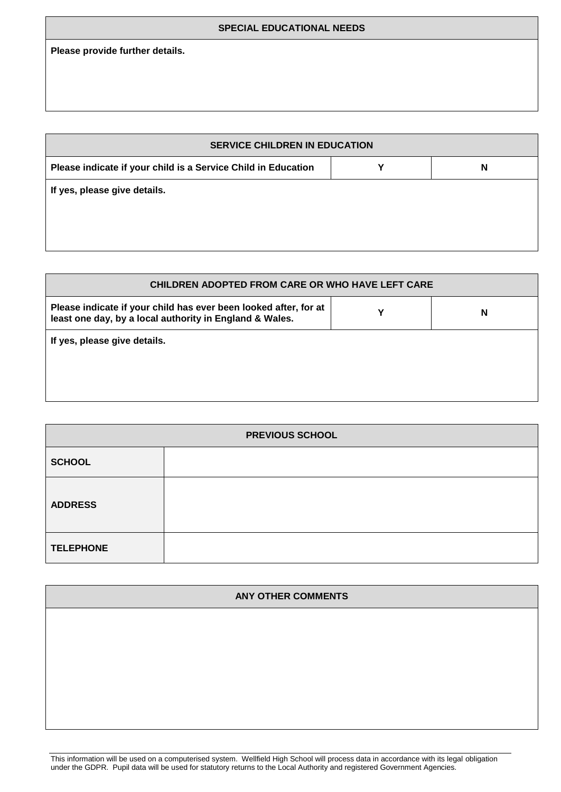### **SPECIAL EDUCATIONAL NEEDS**

**Please provide further details.**

| <b>SERVICE CHILDREN IN EDUCATION</b>                          |  |   |  |  |  |  |  |  |  |
|---------------------------------------------------------------|--|---|--|--|--|--|--|--|--|
| Please indicate if your child is a Service Child in Education |  | N |  |  |  |  |  |  |  |
| If yes, please give details.                                  |  |   |  |  |  |  |  |  |  |
|                                                               |  |   |  |  |  |  |  |  |  |
|                                                               |  |   |  |  |  |  |  |  |  |

| <b>CHILDREN ADOPTED FROM CARE OR WHO HAVE LEFT CARE</b>                                                                     |  |   |  |
|-----------------------------------------------------------------------------------------------------------------------------|--|---|--|
| Please indicate if your child has ever been looked after, for at<br>least one day, by a local authority in England & Wales. |  | N |  |
| If yes, please give details.                                                                                                |  |   |  |

| <b>PREVIOUS SCHOOL</b> |  |  |
|------------------------|--|--|
| <b>SCHOOL</b>          |  |  |
| <b>ADDRESS</b>         |  |  |
| <b>TELEPHONE</b>       |  |  |

| <b>ANY OTHER COMMENTS</b> |  |
|---------------------------|--|
|                           |  |
|                           |  |
|                           |  |
|                           |  |
|                           |  |

This information will be used on a computerised system. Wellfield High School will process data in accordance with its legal obligation under the GDPR. Pupil data will be used for statutory returns to the Local Authority and registered Government Agencies.